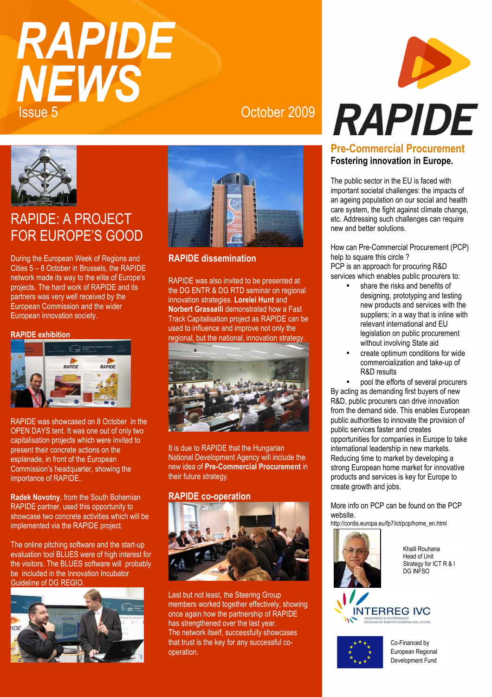# **RAPIDE NEWS** Issue 5 October 2009



## RAPIDE: A PROJECT FOR EUROPE'S GOOD

During the European Week of Regions and Cities 5 – 8 October in Brussels, the RAPIDE network made its way to the elite of Europe's projects. The hard work of RAPIDE and its partners was very well received by the European Commission and the wider European innovation society.

#### **RAPIDE exhibition**



RAPIDE was showcased on 8 October in the OPEN DAYS tent. It was one out of only two capitalisation projects which were invited to present their concrete actions on the esplanade, in front of the European Commission's headquarter, showing the importance of RAPIDE..

**Radek Novotny**, from the South Bohemian RAPIDE partner, used this opportunity to showcase two concrete activities which will be implemented via the RAPIDE project.

The online pitching software and the start-up evaluation tool BLUES were of high interest for the visitors. The BLUES software will probably be included in the Innovation Incubator Guideline of DG REGIO.





### **RAPIDE dissemination**

RAPIDE was also invited to be presented at the DG ENTR & DG RTD seminar on regional innovation strategies. **Lorelei Hunt** and **Norbert Grasselli** demonstrated how a Fast Track Capitalisation project as RAPIDE can be used to influence and improve not only the regional, but the national, innovation strategy.



It is due to RAPIDE that the Hungarian National Development Agency will include the new idea of **Pre-Commercial Procurement** in their future strategy.

#### **RAPIDE co-operation**



Last but not least, the Steering Group members worked together effectively, showing once again how the partnership of RAPIDE has strengthened over the last year. The network itself, successfully showcases that trust is the key for any successful cooperation.



#### **Pre-Commercial Procurement Fostering innovation in Europe.**

The public sector in the EU is faced with important societal challenges: the impacts of an ageing population on our social and health care system, the fight against climate change, etc. Addressing such challenges can require new and better solutions.

How can Pre-Commercial Procurement (PCP) help to square this circle ? PCP is an approach for procuring R&D services which enables public procurers to:

- share the risks and benefits of designing, prototyping and testing new products and services with the suppliers; in a way that is inline with relevant international and EU legislation on public procurement without involving State aid
- create optimum conditions for wide commercialization and take-up of R&D results

• pool the efforts of several procurers By acting as demanding first buyers of new R&D, public procurers can drive innovation from the demand side. This enables European public authorities to innovate the provision of public services faster and creates opportunities for companies in Europe to take international leadership in new markets. Reducing time to market by developing a strong European home market for innovative products and services is key for Europe to create growth and jobs.

More info on PCP can be found on the PCP website.

http://cordis.europa.eu/fp7/ict/pcp/home\_en.html



Khalil Rouhana Head of Unit Strategy for ICT R & I DG INFSO

Co-Financed by

European Regional Development Fund